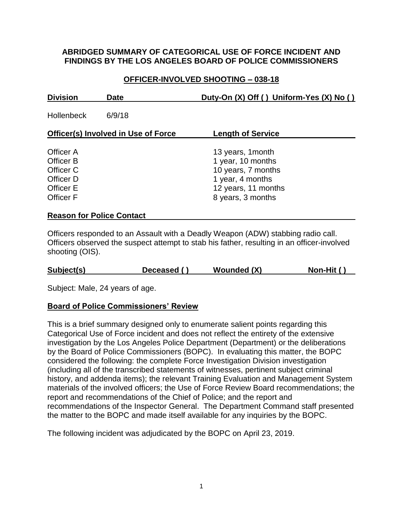### **ABRIDGED SUMMARY OF CATEGORICAL USE OF FORCE INCIDENT AND FINDINGS BY THE LOS ANGELES BOARD OF POLICE COMMISSIONERS**

# **OFFICER-INVOLVED SHOOTING – 038-18**

| <b>Division</b>                                                                                 | <b>Date</b>                      | Duty-On (X) Off () Uniform-Yes (X) No ()                                                                                     |
|-------------------------------------------------------------------------------------------------|----------------------------------|------------------------------------------------------------------------------------------------------------------------------|
| <b>Hollenbeck</b>                                                                               | 6/9/18                           |                                                                                                                              |
| <b>Officer(s) Involved in Use of Force</b>                                                      |                                  | <b>Length of Service</b>                                                                                                     |
| Officer A<br><b>Officer B</b><br>Officer C<br>Officer D<br><b>Officer E</b><br><b>Officer F</b> |                                  | 13 years, 1 month<br>1 year, 10 months<br>10 years, 7 months<br>1 year, 4 months<br>12 years, 11 months<br>8 years, 3 months |
|                                                                                                 | <b>Reason for Police Contact</b> |                                                                                                                              |

Officers responded to an Assault with a Deadly Weapon (ADW) stabbing radio call. Officers observed the suspect attempt to stab his father, resulting in an officer-involved shooting (OIS).

Subject: Male, 24 years of age.

#### **Board of Police Commissioners' Review**

This is a brief summary designed only to enumerate salient points regarding this Categorical Use of Force incident and does not reflect the entirety of the extensive investigation by the Los Angeles Police Department (Department) or the deliberations by the Board of Police Commissioners (BOPC). In evaluating this matter, the BOPC considered the following: the complete Force Investigation Division investigation (including all of the transcribed statements of witnesses, pertinent subject criminal history, and addenda items); the relevant Training Evaluation and Management System materials of the involved officers; the Use of Force Review Board recommendations; the report and recommendations of the Chief of Police; and the report and recommendations of the Inspector General. The Department Command staff presented the matter to the BOPC and made itself available for any inquiries by the BOPC.

The following incident was adjudicated by the BOPC on April 23, 2019.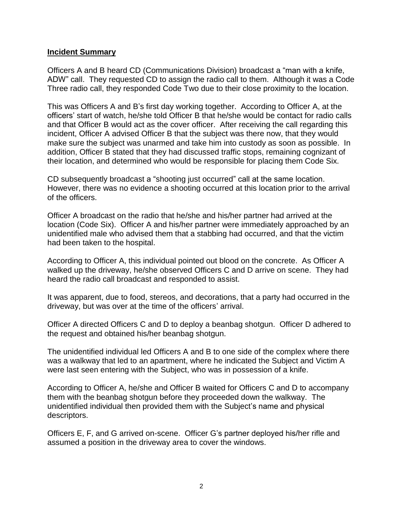#### **Incident Summary**

Officers A and B heard CD (Communications Division) broadcast a "man with a knife, ADW" call. They requested CD to assign the radio call to them. Although it was a Code Three radio call, they responded Code Two due to their close proximity to the location.

This was Officers A and B's first day working together. According to Officer A, at the officers' start of watch, he/she told Officer B that he/she would be contact for radio calls and that Officer B would act as the cover officer. After receiving the call regarding this incident, Officer A advised Officer B that the subject was there now, that they would make sure the subject was unarmed and take him into custody as soon as possible. In addition, Officer B stated that they had discussed traffic stops, remaining cognizant of their location, and determined who would be responsible for placing them Code Six.

CD subsequently broadcast a "shooting just occurred" call at the same location. However, there was no evidence a shooting occurred at this location prior to the arrival of the officers.

Officer A broadcast on the radio that he/she and his/her partner had arrived at the location (Code Six). Officer A and his/her partner were immediately approached by an unidentified male who advised them that a stabbing had occurred, and that the victim had been taken to the hospital.

According to Officer A, this individual pointed out blood on the concrete. As Officer A walked up the driveway, he/she observed Officers C and D arrive on scene. They had heard the radio call broadcast and responded to assist.

It was apparent, due to food, stereos, and decorations, that a party had occurred in the driveway, but was over at the time of the officers' arrival.

Officer A directed Officers C and D to deploy a beanbag shotgun. Officer D adhered to the request and obtained his/her beanbag shotgun.

The unidentified individual led Officers A and B to one side of the complex where there was a walkway that led to an apartment, where he indicated the Subject and Victim A were last seen entering with the Subject, who was in possession of a knife.

According to Officer A, he/she and Officer B waited for Officers C and D to accompany them with the beanbag shotgun before they proceeded down the walkway. The unidentified individual then provided them with the Subject's name and physical descriptors.

Officers E, F, and G arrived on-scene. Officer G's partner deployed his/her rifle and assumed a position in the driveway area to cover the windows.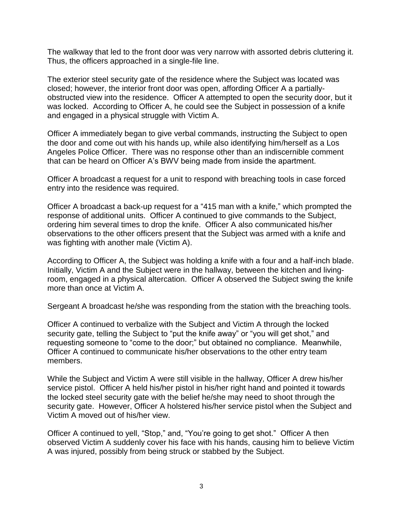The walkway that led to the front door was very narrow with assorted debris cluttering it. Thus, the officers approached in a single-file line.

The exterior steel security gate of the residence where the Subject was located was closed; however, the interior front door was open, affording Officer A a partiallyobstructed view into the residence. Officer A attempted to open the security door, but it was locked. According to Officer A, he could see the Subject in possession of a knife and engaged in a physical struggle with Victim A.

Officer A immediately began to give verbal commands, instructing the Subject to open the door and come out with his hands up, while also identifying him/herself as a Los Angeles Police Officer. There was no response other than an indiscernible comment that can be heard on Officer A's BWV being made from inside the apartment.

Officer A broadcast a request for a unit to respond with breaching tools in case forced entry into the residence was required.

Officer A broadcast a back-up request for a "415 man with a knife," which prompted the response of additional units. Officer A continued to give commands to the Subject, ordering him several times to drop the knife. Officer A also communicated his/her observations to the other officers present that the Subject was armed with a knife and was fighting with another male (Victim A).

According to Officer A, the Subject was holding a knife with a four and a half-inch blade. Initially, Victim A and the Subject were in the hallway, between the kitchen and livingroom, engaged in a physical altercation. Officer A observed the Subject swing the knife more than once at Victim A.

Sergeant A broadcast he/she was responding from the station with the breaching tools.

Officer A continued to verbalize with the Subject and Victim A through the locked security gate, telling the Subject to "put the knife away" or "you will get shot," and requesting someone to "come to the door;" but obtained no compliance. Meanwhile, Officer A continued to communicate his/her observations to the other entry team members.

While the Subject and Victim A were still visible in the hallway, Officer A drew his/her service pistol. Officer A held his/her pistol in his/her right hand and pointed it towards the locked steel security gate with the belief he/she may need to shoot through the security gate. However, Officer A holstered his/her service pistol when the Subject and Victim A moved out of his/her view.

Officer A continued to yell, "Stop," and, "You're going to get shot." Officer A then observed Victim A suddenly cover his face with his hands, causing him to believe Victim A was injured, possibly from being struck or stabbed by the Subject.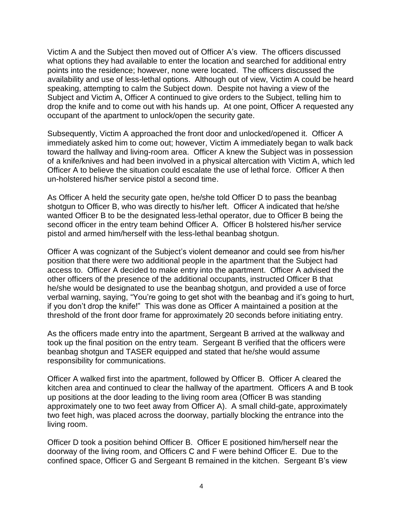Victim A and the Subject then moved out of Officer A's view. The officers discussed what options they had available to enter the location and searched for additional entry points into the residence; however, none were located. The officers discussed the availability and use of less-lethal options. Although out of view, Victim A could be heard speaking, attempting to calm the Subject down. Despite not having a view of the Subject and Victim A, Officer A continued to give orders to the Subject, telling him to drop the knife and to come out with his hands up. At one point, Officer A requested any occupant of the apartment to unlock/open the security gate.

Subsequently, Victim A approached the front door and unlocked/opened it. Officer A immediately asked him to come out; however, Victim A immediately began to walk back toward the hallway and living-room area. Officer A knew the Subject was in possession of a knife/knives and had been involved in a physical altercation with Victim A, which led Officer A to believe the situation could escalate the use of lethal force. Officer A then un-holstered his/her service pistol a second time.

As Officer A held the security gate open, he/she told Officer D to pass the beanbag shotgun to Officer B, who was directly to his/her left. Officer A indicated that he/she wanted Officer B to be the designated less-lethal operator, due to Officer B being the second officer in the entry team behind Officer A. Officer B holstered his/her service pistol and armed him/herself with the less-lethal beanbag shotgun.

Officer A was cognizant of the Subject's violent demeanor and could see from his/her position that there were two additional people in the apartment that the Subject had access to. Officer A decided to make entry into the apartment. Officer A advised the other officers of the presence of the additional occupants, instructed Officer B that he/she would be designated to use the beanbag shotgun, and provided a use of force verbal warning, saying, "You're going to get shot with the beanbag and it's going to hurt, if you don't drop the knife!" This was done as Officer A maintained a position at the threshold of the front door frame for approximately 20 seconds before initiating entry.

As the officers made entry into the apartment, Sergeant B arrived at the walkway and took up the final position on the entry team. Sergeant B verified that the officers were beanbag shotgun and TASER equipped and stated that he/she would assume responsibility for communications.

Officer A walked first into the apartment, followed by Officer B. Officer A cleared the kitchen area and continued to clear the hallway of the apartment. Officers A and B took up positions at the door leading to the living room area (Officer B was standing approximately one to two feet away from Officer A). A small child-gate, approximately two feet high, was placed across the doorway, partially blocking the entrance into the living room.

Officer D took a position behind Officer B. Officer E positioned him/herself near the doorway of the living room, and Officers C and F were behind Officer E. Due to the confined space, Officer G and Sergeant B remained in the kitchen. Sergeant B's view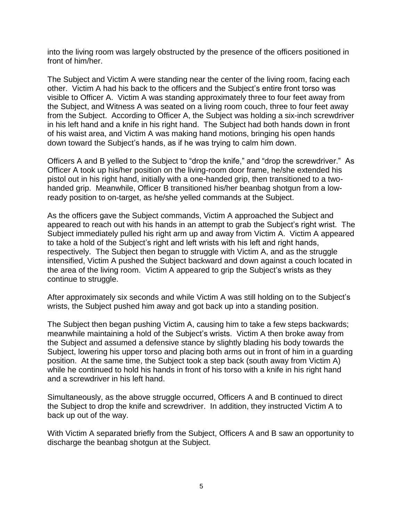into the living room was largely obstructed by the presence of the officers positioned in front of him/her.

The Subject and Victim A were standing near the center of the living room, facing each other. Victim A had his back to the officers and the Subject's entire front torso was visible to Officer A. Victim A was standing approximately three to four feet away from the Subject, and Witness A was seated on a living room couch, three to four feet away from the Subject. According to Officer A, the Subject was holding a six-inch screwdriver in his left hand and a knife in his right hand. The Subject had both hands down in front of his waist area, and Victim A was making hand motions, bringing his open hands down toward the Subject's hands, as if he was trying to calm him down.

Officers A and B yelled to the Subject to "drop the knife," and "drop the screwdriver." As Officer A took up his/her position on the living-room door frame, he/she extended his pistol out in his right hand, initially with a one-handed grip, then transitioned to a twohanded grip. Meanwhile, Officer B transitioned his/her beanbag shotgun from a lowready position to on-target, as he/she yelled commands at the Subject.

As the officers gave the Subject commands, Victim A approached the Subject and appeared to reach out with his hands in an attempt to grab the Subject's right wrist. The Subject immediately pulled his right arm up and away from Victim A. Victim A appeared to take a hold of the Subject's right and left wrists with his left and right hands, respectively. The Subject then began to struggle with Victim A, and as the struggle intensified, Victim A pushed the Subject backward and down against a couch located in the area of the living room. Victim A appeared to grip the Subject's wrists as they continue to struggle.

After approximately six seconds and while Victim A was still holding on to the Subject's wrists, the Subject pushed him away and got back up into a standing position.

The Subject then began pushing Victim A, causing him to take a few steps backwards; meanwhile maintaining a hold of the Subject's wrists. Victim A then broke away from the Subject and assumed a defensive stance by slightly blading his body towards the Subject, lowering his upper torso and placing both arms out in front of him in a guarding position. At the same time, the Subject took a step back (south away from Victim A) while he continued to hold his hands in front of his torso with a knife in his right hand and a screwdriver in his left hand.

Simultaneously, as the above struggle occurred, Officers A and B continued to direct the Subject to drop the knife and screwdriver. In addition, they instructed Victim A to back up out of the way.

With Victim A separated briefly from the Subject, Officers A and B saw an opportunity to discharge the beanbag shotgun at the Subject.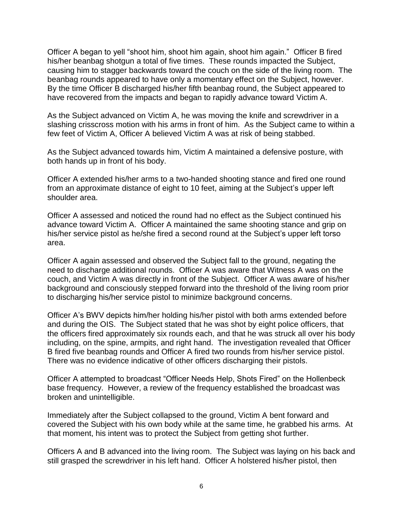Officer A began to yell "shoot him, shoot him again, shoot him again." Officer B fired his/her beanbag shotgun a total of five times. These rounds impacted the Subject, causing him to stagger backwards toward the couch on the side of the living room. The beanbag rounds appeared to have only a momentary effect on the Subject, however. By the time Officer B discharged his/her fifth beanbag round, the Subject appeared to have recovered from the impacts and began to rapidly advance toward Victim A.

As the Subject advanced on Victim A, he was moving the knife and screwdriver in a slashing crisscross motion with his arms in front of him. As the Subject came to within a few feet of Victim A, Officer A believed Victim A was at risk of being stabbed.

As the Subject advanced towards him, Victim A maintained a defensive posture, with both hands up in front of his body.

Officer A extended his/her arms to a two-handed shooting stance and fired one round from an approximate distance of eight to 10 feet, aiming at the Subject's upper left shoulder area.

Officer A assessed and noticed the round had no effect as the Subject continued his advance toward Victim A. Officer A maintained the same shooting stance and grip on his/her service pistol as he/she fired a second round at the Subject's upper left torso area.

Officer A again assessed and observed the Subject fall to the ground, negating the need to discharge additional rounds. Officer A was aware that Witness A was on the couch, and Victim A was directly in front of the Subject. Officer A was aware of his/her background and consciously stepped forward into the threshold of the living room prior to discharging his/her service pistol to minimize background concerns.

Officer A's BWV depicts him/her holding his/her pistol with both arms extended before and during the OIS. The Subject stated that he was shot by eight police officers, that the officers fired approximately six rounds each, and that he was struck all over his body including, on the spine, armpits, and right hand. The investigation revealed that Officer B fired five beanbag rounds and Officer A fired two rounds from his/her service pistol. There was no evidence indicative of other officers discharging their pistols.

Officer A attempted to broadcast "Officer Needs Help, Shots Fired" on the Hollenbeck base frequency. However, a review of the frequency established the broadcast was broken and unintelligible.

Immediately after the Subject collapsed to the ground, Victim A bent forward and covered the Subject with his own body while at the same time, he grabbed his arms. At that moment, his intent was to protect the Subject from getting shot further.

Officers A and B advanced into the living room. The Subject was laying on his back and still grasped the screwdriver in his left hand. Officer A holstered his/her pistol, then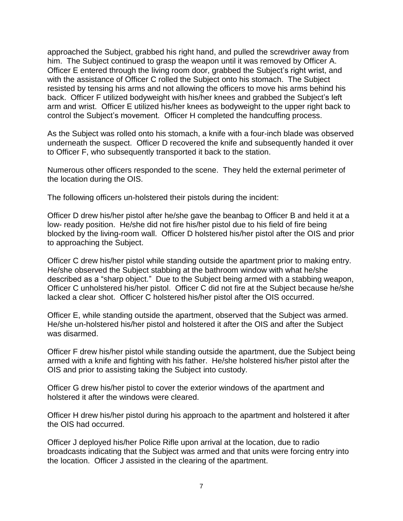approached the Subject, grabbed his right hand, and pulled the screwdriver away from him. The Subject continued to grasp the weapon until it was removed by Officer A. Officer E entered through the living room door, grabbed the Subject's right wrist, and with the assistance of Officer C rolled the Subject onto his stomach. The Subject resisted by tensing his arms and not allowing the officers to move his arms behind his back. Officer F utilized bodyweight with his/her knees and grabbed the Subject's left arm and wrist. Officer E utilized his/her knees as bodyweight to the upper right back to control the Subject's movement. Officer H completed the handcuffing process.

As the Subject was rolled onto his stomach, a knife with a four-inch blade was observed underneath the suspect. Officer D recovered the knife and subsequently handed it over to Officer F, who subsequently transported it back to the station.

Numerous other officers responded to the scene. They held the external perimeter of the location during the OIS.

The following officers un-holstered their pistols during the incident:

Officer D drew his/her pistol after he/she gave the beanbag to Officer B and held it at a low- ready position. He/she did not fire his/her pistol due to his field of fire being blocked by the living-room wall. Officer D holstered his/her pistol after the OIS and prior to approaching the Subject.

Officer C drew his/her pistol while standing outside the apartment prior to making entry. He/she observed the Subject stabbing at the bathroom window with what he/she described as a "sharp object." Due to the Subject being armed with a stabbing weapon, Officer C unholstered his/her pistol. Officer C did not fire at the Subject because he/she lacked a clear shot. Officer C holstered his/her pistol after the OIS occurred.

Officer E, while standing outside the apartment, observed that the Subject was armed. He/she un-holstered his/her pistol and holstered it after the OIS and after the Subject was disarmed.

Officer F drew his/her pistol while standing outside the apartment, due the Subject being armed with a knife and fighting with his father. He/she holstered his/her pistol after the OIS and prior to assisting taking the Subject into custody.

Officer G drew his/her pistol to cover the exterior windows of the apartment and holstered it after the windows were cleared.

Officer H drew his/her pistol during his approach to the apartment and holstered it after the OIS had occurred.

Officer J deployed his/her Police Rifle upon arrival at the location, due to radio broadcasts indicating that the Subject was armed and that units were forcing entry into the location. Officer J assisted in the clearing of the apartment.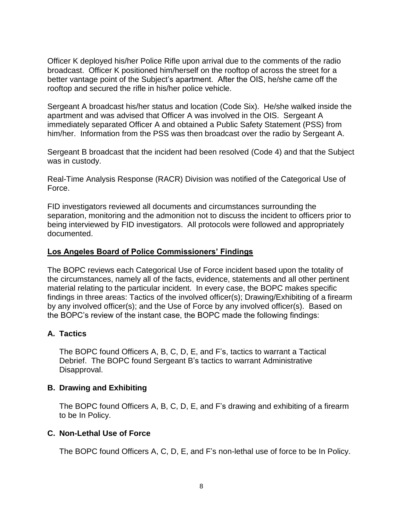Officer K deployed his/her Police Rifle upon arrival due to the comments of the radio broadcast. Officer K positioned him/herself on the rooftop of across the street for a better vantage point of the Subject's apartment. After the OIS, he/she came off the rooftop and secured the rifle in his/her police vehicle.

Sergeant A broadcast his/her status and location (Code Six). He/she walked inside the apartment and was advised that Officer A was involved in the OIS. Sergeant A immediately separated Officer A and obtained a Public Safety Statement (PSS) from him/her. Information from the PSS was then broadcast over the radio by Sergeant A.

Sergeant B broadcast that the incident had been resolved (Code 4) and that the Subject was in custody.

Real-Time Analysis Response (RACR) Division was notified of the Categorical Use of Force.

FID investigators reviewed all documents and circumstances surrounding the separation, monitoring and the admonition not to discuss the incident to officers prior to being interviewed by FID investigators. All protocols were followed and appropriately documented.

### **Los Angeles Board of Police Commissioners' Findings**

The BOPC reviews each Categorical Use of Force incident based upon the totality of the circumstances, namely all of the facts, evidence, statements and all other pertinent material relating to the particular incident. In every case, the BOPC makes specific findings in three areas: Tactics of the involved officer(s); Drawing/Exhibiting of a firearm by any involved officer(s); and the Use of Force by any involved officer(s). Based on the BOPC's review of the instant case, the BOPC made the following findings:

# **A. Tactics**

The BOPC found Officers A, B, C, D, E, and F's, tactics to warrant a Tactical Debrief. The BOPC found Sergeant B's tactics to warrant Administrative Disapproval.

#### **B. Drawing and Exhibiting**

The BOPC found Officers A, B, C, D, E, and F's drawing and exhibiting of a firearm to be In Policy.

#### **C. Non-Lethal Use of Force**

The BOPC found Officers A, C, D, E, and F's non-lethal use of force to be In Policy.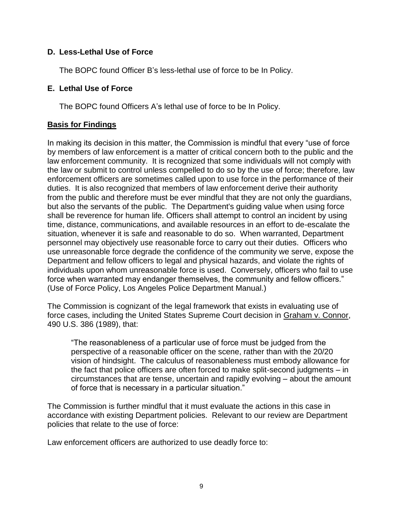# **D. Less-Lethal Use of Force**

The BOPC found Officer B's less-lethal use of force to be In Policy.

### **E. Lethal Use of Force**

The BOPC found Officers A's lethal use of force to be In Policy.

## **Basis for Findings**

In making its decision in this matter, the Commission is mindful that every "use of force by members of law enforcement is a matter of critical concern both to the public and the law enforcement community. It is recognized that some individuals will not comply with the law or submit to control unless compelled to do so by the use of force; therefore, law enforcement officers are sometimes called upon to use force in the performance of their duties. It is also recognized that members of law enforcement derive their authority from the public and therefore must be ever mindful that they are not only the guardians, but also the servants of the public. The Department's guiding value when using force shall be reverence for human life. Officers shall attempt to control an incident by using time, distance, communications, and available resources in an effort to de-escalate the situation, whenever it is safe and reasonable to do so. When warranted, Department personnel may objectively use reasonable force to carry out their duties. Officers who use unreasonable force degrade the confidence of the community we serve, expose the Department and fellow officers to legal and physical hazards, and violate the rights of individuals upon whom unreasonable force is used. Conversely, officers who fail to use force when warranted may endanger themselves, the community and fellow officers." (Use of Force Policy, Los Angeles Police Department Manual.)

The Commission is cognizant of the legal framework that exists in evaluating use of force cases, including the United States Supreme Court decision in Graham v. Connor, 490 U.S. 386 (1989), that:

"The reasonableness of a particular use of force must be judged from the perspective of a reasonable officer on the scene, rather than with the 20/20 vision of hindsight. The calculus of reasonableness must embody allowance for the fact that police officers are often forced to make split-second judgments – in circumstances that are tense, uncertain and rapidly evolving – about the amount of force that is necessary in a particular situation."

The Commission is further mindful that it must evaluate the actions in this case in accordance with existing Department policies. Relevant to our review are Department policies that relate to the use of force:

Law enforcement officers are authorized to use deadly force to: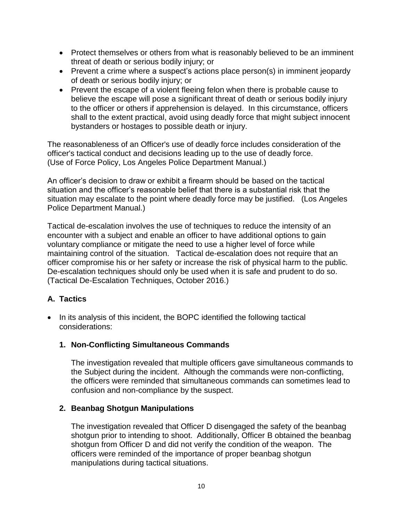- Protect themselves or others from what is reasonably believed to be an imminent threat of death or serious bodily injury; or
- Prevent a crime where a suspect's actions place person(s) in imminent jeopardy of death or serious bodily injury; or
- Prevent the escape of a violent fleeing felon when there is probable cause to believe the escape will pose a significant threat of death or serious bodily injury to the officer or others if apprehension is delayed. In this circumstance, officers shall to the extent practical, avoid using deadly force that might subject innocent bystanders or hostages to possible death or injury.

The reasonableness of an Officer's use of deadly force includes consideration of the officer's tactical conduct and decisions leading up to the use of deadly force. (Use of Force Policy, Los Angeles Police Department Manual.)

An officer's decision to draw or exhibit a firearm should be based on the tactical situation and the officer's reasonable belief that there is a substantial risk that the situation may escalate to the point where deadly force may be justified. (Los Angeles Police Department Manual.)

Tactical de-escalation involves the use of techniques to reduce the intensity of an encounter with a subject and enable an officer to have additional options to gain voluntary compliance or mitigate the need to use a higher level of force while maintaining control of the situation. Tactical de-escalation does not require that an officer compromise his or her safety or increase the risk of physical harm to the public. De-escalation techniques should only be used when it is safe and prudent to do so. (Tactical De-Escalation Techniques, October 2016.)

# **A. Tactics**

• In its analysis of this incident, the BOPC identified the following tactical considerations:

# **1. Non-Conflicting Simultaneous Commands**

The investigation revealed that multiple officers gave simultaneous commands to the Subject during the incident. Although the commands were non-conflicting, the officers were reminded that simultaneous commands can sometimes lead to confusion and non-compliance by the suspect.

# **2. Beanbag Shotgun Manipulations**

The investigation revealed that Officer D disengaged the safety of the beanbag shotgun prior to intending to shoot. Additionally, Officer B obtained the beanbag shotgun from Officer D and did not verify the condition of the weapon. The officers were reminded of the importance of proper beanbag shotgun manipulations during tactical situations.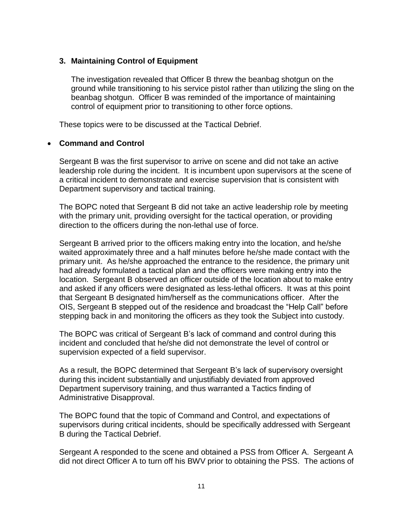### **3. Maintaining Control of Equipment**

The investigation revealed that Officer B threw the beanbag shotgun on the ground while transitioning to his service pistol rather than utilizing the sling on the beanbag shotgun. Officer B was reminded of the importance of maintaining control of equipment prior to transitioning to other force options.

These topics were to be discussed at the Tactical Debrief.

#### • **Command and Control**

Sergeant B was the first supervisor to arrive on scene and did not take an active leadership role during the incident. It is incumbent upon supervisors at the scene of a critical incident to demonstrate and exercise supervision that is consistent with Department supervisory and tactical training.

The BOPC noted that Sergeant B did not take an active leadership role by meeting with the primary unit, providing oversight for the tactical operation, or providing direction to the officers during the non-lethal use of force.

Sergeant B arrived prior to the officers making entry into the location, and he/she waited approximately three and a half minutes before he/she made contact with the primary unit. As he/she approached the entrance to the residence, the primary unit had already formulated a tactical plan and the officers were making entry into the location. Sergeant B observed an officer outside of the location about to make entry and asked if any officers were designated as less-lethal officers. It was at this point that Sergeant B designated him/herself as the communications officer. After the OIS, Sergeant B stepped out of the residence and broadcast the "Help Call" before stepping back in and monitoring the officers as they took the Subject into custody.

The BOPC was critical of Sergeant B's lack of command and control during this incident and concluded that he/she did not demonstrate the level of control or supervision expected of a field supervisor.

As a result, the BOPC determined that Sergeant B's lack of supervisory oversight during this incident substantially and unjustifiably deviated from approved Department supervisory training, and thus warranted a Tactics finding of Administrative Disapproval.

The BOPC found that the topic of Command and Control, and expectations of supervisors during critical incidents, should be specifically addressed with Sergeant B during the Tactical Debrief.

Sergeant A responded to the scene and obtained a PSS from Officer A. Sergeant A did not direct Officer A to turn off his BWV prior to obtaining the PSS. The actions of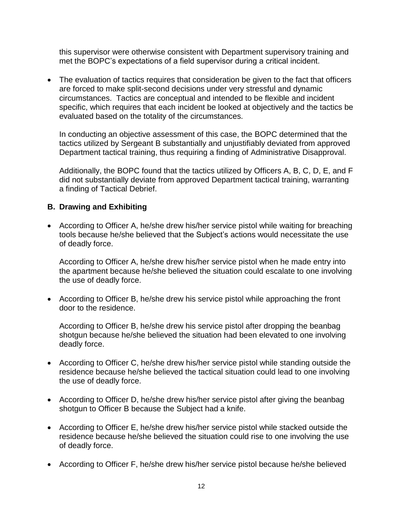this supervisor were otherwise consistent with Department supervisory training and met the BOPC's expectations of a field supervisor during a critical incident.

• The evaluation of tactics requires that consideration be given to the fact that officers are forced to make split-second decisions under very stressful and dynamic circumstances. Tactics are conceptual and intended to be flexible and incident specific, which requires that each incident be looked at objectively and the tactics be evaluated based on the totality of the circumstances.

In conducting an objective assessment of this case, the BOPC determined that the tactics utilized by Sergeant B substantially and unjustifiably deviated from approved Department tactical training, thus requiring a finding of Administrative Disapproval.

Additionally, the BOPC found that the tactics utilized by Officers A, B, C, D, E, and F did not substantially deviate from approved Department tactical training, warranting a finding of Tactical Debrief.

#### **B. Drawing and Exhibiting**

• According to Officer A, he/she drew his/her service pistol while waiting for breaching tools because he/she believed that the Subject's actions would necessitate the use of deadly force.

According to Officer A, he/she drew his/her service pistol when he made entry into the apartment because he/she believed the situation could escalate to one involving the use of deadly force.

• According to Officer B, he/she drew his service pistol while approaching the front door to the residence.

According to Officer B, he/she drew his service pistol after dropping the beanbag shotgun because he/she believed the situation had been elevated to one involving deadly force.

- According to Officer C, he/she drew his/her service pistol while standing outside the residence because he/she believed the tactical situation could lead to one involving the use of deadly force.
- According to Officer D, he/she drew his/her service pistol after giving the beanbag shotgun to Officer B because the Subject had a knife.
- According to Officer E, he/she drew his/her service pistol while stacked outside the residence because he/she believed the situation could rise to one involving the use of deadly force.
- According to Officer F, he/she drew his/her service pistol because he/she believed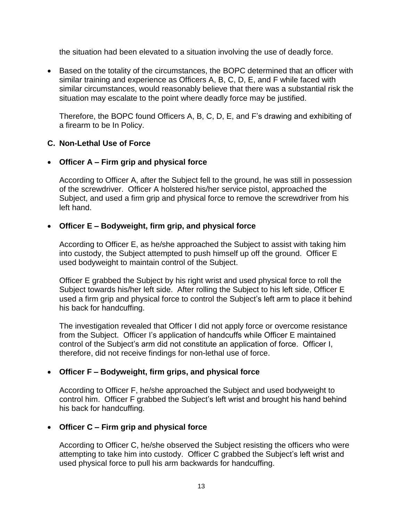the situation had been elevated to a situation involving the use of deadly force.

• Based on the totality of the circumstances, the BOPC determined that an officer with similar training and experience as Officers A, B, C, D, E, and F while faced with similar circumstances, would reasonably believe that there was a substantial risk the situation may escalate to the point where deadly force may be justified.

Therefore, the BOPC found Officers A, B, C, D, E, and F's drawing and exhibiting of a firearm to be In Policy.

### **C. Non-Lethal Use of Force**

### • **Officer A – Firm grip and physical force**

According to Officer A, after the Subject fell to the ground, he was still in possession of the screwdriver. Officer A holstered his/her service pistol, approached the Subject, and used a firm grip and physical force to remove the screwdriver from his left hand.

### • **Officer E – Bodyweight, firm grip, and physical force**

According to Officer E, as he/she approached the Subject to assist with taking him into custody, the Subject attempted to push himself up off the ground. Officer E used bodyweight to maintain control of the Subject.

Officer E grabbed the Subject by his right wrist and used physical force to roll the Subject towards his/her left side. After rolling the Subject to his left side, Officer E used a firm grip and physical force to control the Subject's left arm to place it behind his back for handcuffing.

The investigation revealed that Officer I did not apply force or overcome resistance from the Subject. Officer I's application of handcuffs while Officer E maintained control of the Subject's arm did not constitute an application of force. Officer I, therefore, did not receive findings for non-lethal use of force.

# • **Officer F – Bodyweight, firm grips, and physical force**

According to Officer F, he/she approached the Subject and used bodyweight to control him. Officer F grabbed the Subject's left wrist and brought his hand behind his back for handcuffing.

#### • **Officer C – Firm grip and physical force**

According to Officer C, he/she observed the Subject resisting the officers who were attempting to take him into custody. Officer C grabbed the Subject's left wrist and used physical force to pull his arm backwards for handcuffing.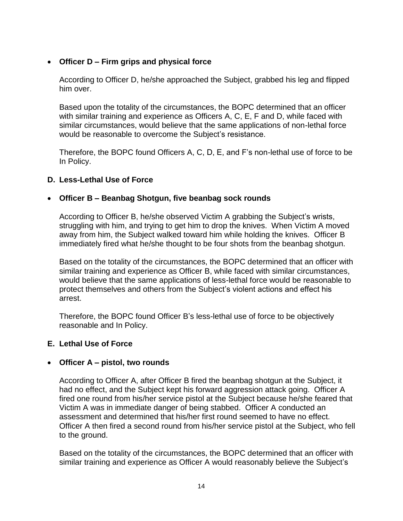# • **Officer D – Firm grips and physical force**

According to Officer D, he/she approached the Subject, grabbed his leg and flipped him over.

Based upon the totality of the circumstances, the BOPC determined that an officer with similar training and experience as Officers A, C, E, F and D, while faced with similar circumstances, would believe that the same applications of non-lethal force would be reasonable to overcome the Subject's resistance.

Therefore, the BOPC found Officers A, C, D, E, and F's non-lethal use of force to be In Policy.

### **D. Less-Lethal Use of Force**

### • **Officer B – Beanbag Shotgun, five beanbag sock rounds**

According to Officer B, he/she observed Victim A grabbing the Subject's wrists, struggling with him, and trying to get him to drop the knives. When Victim A moved away from him, the Subject walked toward him while holding the knives. Officer B immediately fired what he/she thought to be four shots from the beanbag shotgun.

Based on the totality of the circumstances, the BOPC determined that an officer with similar training and experience as Officer B, while faced with similar circumstances, would believe that the same applications of less-lethal force would be reasonable to protect themselves and others from the Subject's violent actions and effect his arrest.

Therefore, the BOPC found Officer B's less-lethal use of force to be objectively reasonable and In Policy.

#### **E. Lethal Use of Force**

#### • **Officer A – pistol, two rounds**

According to Officer A, after Officer B fired the beanbag shotgun at the Subject, it had no effect, and the Subject kept his forward aggression attack going. Officer A fired one round from his/her service pistol at the Subject because he/she feared that Victim A was in immediate danger of being stabbed. Officer A conducted an assessment and determined that his/her first round seemed to have no effect. Officer A then fired a second round from his/her service pistol at the Subject, who fell to the ground.

Based on the totality of the circumstances, the BOPC determined that an officer with similar training and experience as Officer A would reasonably believe the Subject's